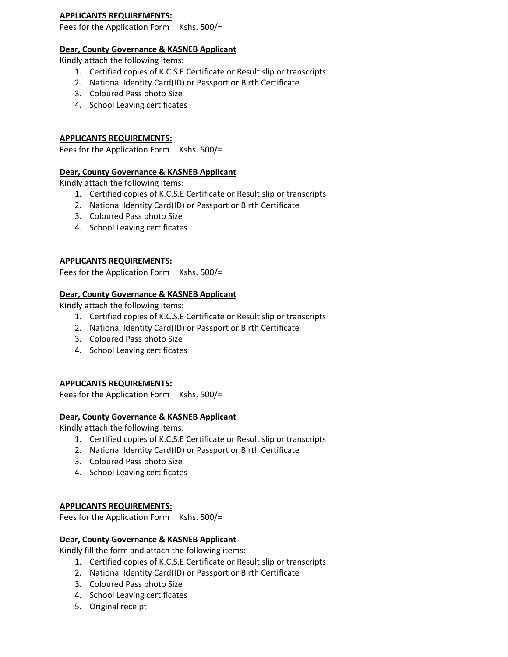#### **APPLICANTS REQUIREMENTS:**

Fees for the Application Form Kshs. 500/=

## **Dear, County Governance & KASNEB Applicant**

Kindly attach the following items:

- 1. Certified copies of K.C.S.E Certificate or Result slip or transcripts
- 2. National Identity Card(ID) or Passport or Birth Certificate
- 3. Coloured Pass photo Size
- 4. School Leaving certificates

# **APPLICANTS REQUIREMENTS:**

Fees for the Application Form Kshs. 500/=

## **Dear, County Governance & KASNEB Applicant**

Kindly attach the following items:

- 1. Certified copies of K.C.S.E Certificate or Result slip or transcripts
- 2. National Identity Card(ID) or Passport or Birth Certificate
- 3. Coloured Pass photo Size
- 4. School Leaving certificates

## **APPLICANTS REQUIREMENTS:**

Fees for the Application Form Kshs. 500/=

#### **Dear, County Governance & KASNEB Applicant**

Kindly attach the following items:

- 1. Certified copies of K.C.S.E Certificate or Result slip or transcripts
- 2. National Identity Card(ID) or Passport or Birth Certificate
- 3. Coloured Pass photo Size
- 4. School Leaving certificates

## **APPLICANTS REQUIREMENTS:**

Fees for the Application Form Kshs. 500/=

## **Dear, County Governance & KASNEB Applicant**

Kindly attach the following items:

- 1. Certified copies of K.C.S.E Certificate or Result slip or transcripts
- 2. National Identity Card(ID) or Passport or Birth Certificate
- 3. Coloured Pass photo Size
- 4. School Leaving certificates

## **APPLICANTS REQUIREMENTS:**

Fees for the Application Form Kshs. 500/=

## **Dear, County Governance & KASNEB Applicant**

Kindly fill the form and attach the following items:

- 1. Certified copies of K.C.S.E Certificate or Result slip or transcripts
- 2. National Identity Card(ID) or Passport or Birth Certificate
- 3. Coloured Pass photo Size
- 4. School Leaving certificates
- 5. Original receipt